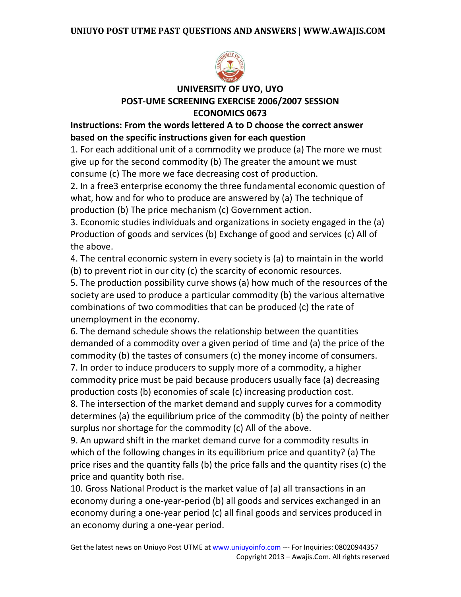

# **UNIVERSITY OF UYO, UYO POST-UME SCREENING EXERCISE 2006/2007 SESSION ECONOMICS 0673**

# **Instructions: From the words lettered A to D choose the correct answer based on the specific instructions given for each question**

1. For each additional unit of a commodity we produce (a) The more we must give up for the second commodity (b) The greater the amount we must consume (c) The more we face decreasing cost of production.

2. In a free3 enterprise economy the three fundamental economic question of what, how and for who to produce are answered by (a) The technique of production (b) The price mechanism (c) Government action.

3. Economic studies individuals and organizations in society engaged in the (a) Production of goods and services (b) Exchange of good and services (c) All of the above.

4. The central economic system in every society is (a) to maintain in the world (b) to prevent riot in our city (c) the scarcity of economic resources.

5. The production possibility curve shows (a) how much of the resources of the society are used to produce a particular commodity (b) the various alternative combinations of two commodities that can be produced (c) the rate of unemployment in the economy.

6. The demand schedule shows the relationship between the quantities demanded of a commodity over a given period of time and (a) the price of the commodity (b) the tastes of consumers (c) the money income of consumers.

7. In order to induce producers to supply more of a commodity, a higher commodity price must be paid because producers usually face (a) decreasing production costs (b) economies of scale (c) increasing production cost.

8. The intersection of the market demand and supply curves for a commodity determines (a) the equilibrium price of the commodity (b) the pointy of neither surplus nor shortage for the commodity (c) All of the above.

9. An upward shift in the market demand curve for a commodity results in which of the following changes in its equilibrium price and quantity? (a) The price rises and the quantity falls (b) the price falls and the quantity rises (c) the price and quantity both rise.

10. Gross National Product is the market value of (a) all transactions in an economy during a one-year-period (b) all goods and services exchanged in an economy during a one-year period (c) all final goods and services produced in an economy during a one-year period.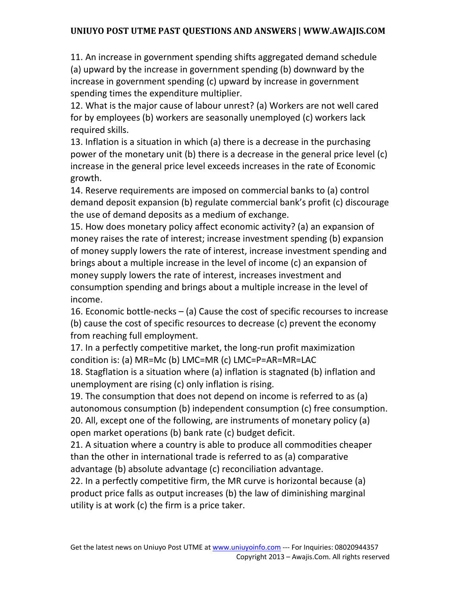11. An increase in government spending shifts aggregated demand schedule (a) upward by the increase in government spending (b) downward by the increase in government spending (c) upward by increase in government spending times the expenditure multiplier.

12. What is the major cause of labour unrest? (a) Workers are not well cared for by employees (b) workers are seasonally unemployed (c) workers lack required skills.

13. Inflation is a situation in which (a) there is a decrease in the purchasing power of the monetary unit (b) there is a decrease in the general price level (c) increase in the general price level exceeds increases in the rate of Economic growth.

14. Reserve requirements are imposed on commercial banks to (a) control demand deposit expansion (b) regulate commercial bank's profit (c) discourage the use of demand deposits as a medium of exchange.

15. How does monetary policy affect economic activity? (a) an expansion of money raises the rate of interest; increase investment spending (b) expansion of money supply lowers the rate of interest, increase investment spending and brings about a multiple increase in the level of income (c) an expansion of money supply lowers the rate of interest, increases investment and consumption spending and brings about a multiple increase in the level of income.

16. Economic bottle-necks – (a) Cause the cost of specific recourses to increase (b) cause the cost of specific resources to decrease (c) prevent the economy from reaching full employment.

17. In a perfectly competitive market, the long-run profit maximization condition is: (a) MR=Mc (b) LMC=MR (c) LMC=P=AR=MR=LAC

18. Stagflation is a situation where (a) inflation is stagnated (b) inflation and unemployment are rising (c) only inflation is rising.

19. The consumption that does not depend on income is referred to as (a) autonomous consumption (b) independent consumption (c) free consumption. 20. All, except one of the following, are instruments of monetary policy (a) open market operations (b) bank rate (c) budget deficit.

21. A situation where a country is able to produce all commodities cheaper than the other in international trade is referred to as (a) comparative advantage (b) absolute advantage (c) reconciliation advantage.

22. In a perfectly competitive firm, the MR curve is horizontal because (a) product price falls as output increases (b) the law of diminishing marginal utility is at work (c) the firm is a price taker.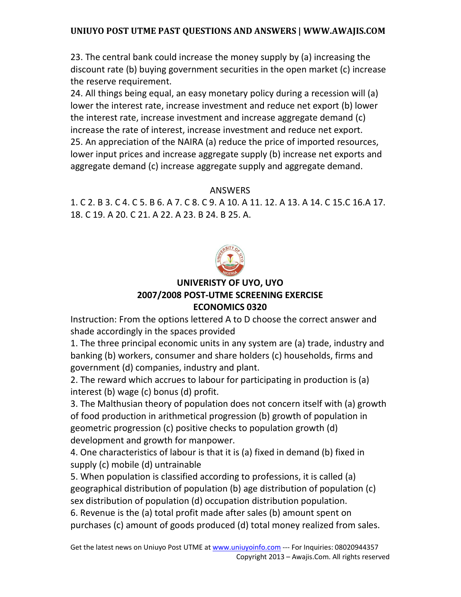23. The central bank could increase the money supply by (a) increasing the discount rate (b) buying government securities in the open market (c) increase the reserve requirement.

24. All things being equal, an easy monetary policy during a recession will (a) lower the interest rate, increase investment and reduce net export (b) lower the interest rate, increase investment and increase aggregate demand (c) increase the rate of interest, increase investment and reduce net export. 25. An appreciation of the NAIRA (a) reduce the price of imported resources, lower input prices and increase aggregate supply (b) increase net exports and aggregate demand (c) increase aggregate supply and aggregate demand.

### ANSWERS

1. C 2. B 3. C 4. C 5. B 6. A 7. C 8. C 9. A 10. A 11. 12. A 13. A 14. C 15.C 16.A 17. 18. C 19. A 20. C 21. A 22. A 23. B 24. B 25. A.



## **UNIVERISTY OF UYO, UYO 2007/2008 POST-UTME SCREENING EXERCISE ECONOMICS 0320**

Instruction: From the options lettered A to D choose the correct answer and shade accordingly in the spaces provided

1. The three principal economic units in any system are (a) trade, industry and banking (b) workers, consumer and share holders (c) households, firms and government (d) companies, industry and plant.

2. The reward which accrues to labour for participating in production is (a) interest (b) wage (c) bonus (d) profit.

3. The Malthusian theory of population does not concern itself with (a) growth of food production in arithmetical progression (b) growth of population in geometric progression (c) positive checks to population growth (d) development and growth for manpower.

4. One characteristics of labour is that it is (a) fixed in demand (b) fixed in supply (c) mobile (d) untrainable

5. When population is classified according to professions, it is called (a) geographical distribution of population (b) age distribution of population (c) sex distribution of population (d) occupation distribution population. 6. Revenue is the (a) total profit made after sales (b) amount spent on

purchases (c) amount of goods produced (d) total money realized from sales.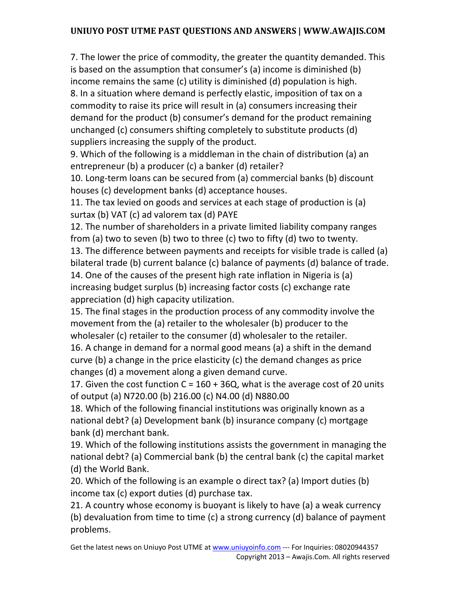7. The lower the price of commodity, the greater the quantity demanded. This is based on the assumption that consumer's (a) income is diminished (b) income remains the same (c) utility is diminished (d) population is high. 8. In a situation where demand is perfectly elastic, imposition of tax on a commodity to raise its price will result in (a) consumers increasing their demand for the product (b) consumer's demand for the product remaining unchanged (c) consumers shifting completely to substitute products (d) suppliers increasing the supply of the product.

9. Which of the following is a middleman in the chain of distribution (a) an entrepreneur (b) a producer (c) a banker (d) retailer?

10. Long-term loans can be secured from (a) commercial banks (b) discount houses (c) development banks (d) acceptance houses.

11. The tax levied on goods and services at each stage of production is (a) surtax (b) VAT (c) ad valorem tax (d) PAYE

12. The number of shareholders in a private limited liability company ranges from (a) two to seven (b) two to three (c) two to fifty (d) two to twenty.

13. The difference between payments and receipts for visible trade is called (a) bilateral trade (b) current balance (c) balance of payments (d) balance of trade. 14. One of the causes of the present high rate inflation in Nigeria is (a) increasing budget surplus (b) increasing factor costs (c) exchange rate appreciation (d) high capacity utilization.

15. The final stages in the production process of any commodity involve the movement from the (a) retailer to the wholesaler (b) producer to the wholesaler (c) retailer to the consumer (d) wholesaler to the retailer.

16. A change in demand for a normal good means (a) a shift in the demand curve (b) a change in the price elasticity (c) the demand changes as price changes (d) a movement along a given demand curve.

17. Given the cost function  $C = 160 + 36Q$ , what is the average cost of 20 units of output (a) N720.00 (b) 216.00 (c) N4.00 (d) N880.00

18. Which of the following financial institutions was originally known as a national debt? (a) Development bank (b) insurance company (c) mortgage bank (d) merchant bank.

19. Which of the following institutions assists the government in managing the national debt? (a) Commercial bank (b) the central bank (c) the capital market (d) the World Bank.

20. Which of the following is an example o direct tax? (a) Import duties (b) income tax (c) export duties (d) purchase tax.

21. A country whose economy is buoyant is likely to have (a) a weak currency (b) devaluation from time to time (c) a strong currency (d) balance of payment problems.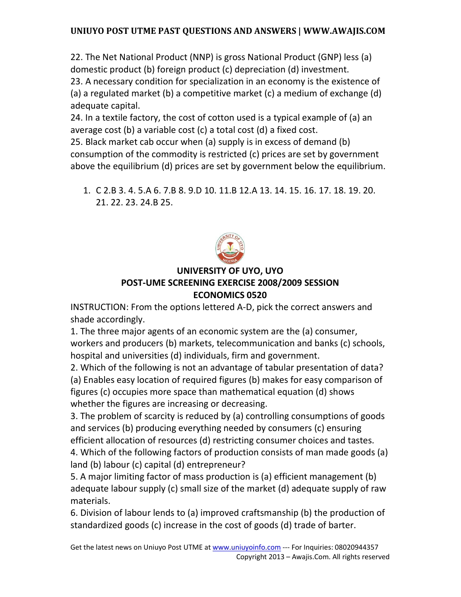22. The Net National Product (NNP) is gross National Product (GNP) less (a) domestic product (b) foreign product (c) depreciation (d) investment.

23. A necessary condition for specialization in an economy is the existence of (a) a regulated market (b) a competitive market (c) a medium of exchange (d) adequate capital.

24. In a textile factory, the cost of cotton used is a typical example of (a) an average cost (b) a variable cost (c) a total cost (d) a fixed cost.

25. Black market cab occur when (a) supply is in excess of demand (b) consumption of the commodity is restricted (c) prices are set by government above the equilibrium (d) prices are set by government below the equilibrium.

1. C 2.B 3. 4. 5.A 6. 7.B 8. 9.D 10. 11.B 12.A 13. 14. 15. 16. 17. 18. 19. 20. 21. 22. 23. 24.B 25.



# **UNIVERSITY OF UYO, UYO**

### **POST-UME SCREENING EXERCISE 2008/2009 SESSION ECONOMICS 0520**

INSTRUCTION: From the options lettered A-D, pick the correct answers and shade accordingly.

1. The three major agents of an economic system are the (a) consumer, workers and producers (b) markets, telecommunication and banks (c) schools, hospital and universities (d) individuals, firm and government.

2. Which of the following is not an advantage of tabular presentation of data? (a) Enables easy location of required figures (b) makes for easy comparison of figures (c) occupies more space than mathematical equation (d) shows whether the figures are increasing or decreasing.

3. The problem of scarcity is reduced by (a) controlling consumptions of goods and services (b) producing everything needed by consumers (c) ensuring efficient allocation of resources (d) restricting consumer choices and tastes.

4. Which of the following factors of production consists of man made goods (a) land (b) labour (c) capital (d) entrepreneur?

5. A major limiting factor of mass production is (a) efficient management (b) adequate labour supply (c) small size of the market (d) adequate supply of raw materials.

6. Division of labour lends to (a) improved craftsmanship (b) the production of standardized goods (c) increase in the cost of goods (d) trade of barter.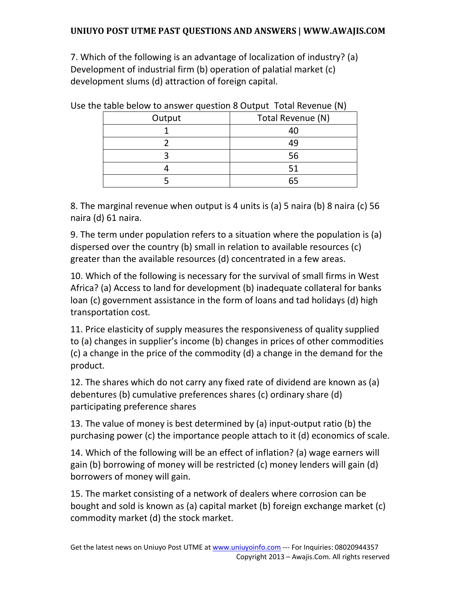7. Which of the following is an advantage of localization of industry? (a) Development of industrial firm (b) operation of palatial market (c) development slums (d) attraction of foreign capital.

| $\sim$ table belong to anonel gaestion of satisfied the renarched (i.i) |                   |  |  |  |  |
|-------------------------------------------------------------------------|-------------------|--|--|--|--|
| Output                                                                  | Total Revenue (N) |  |  |  |  |
|                                                                         | 40                |  |  |  |  |
|                                                                         | 49                |  |  |  |  |
|                                                                         | 56                |  |  |  |  |
|                                                                         | 51                |  |  |  |  |
|                                                                         | 65                |  |  |  |  |

Use the table below to answer question 8 Output Total Revenue (N)

8. The marginal revenue when output is 4 units is (a) 5 naira (b) 8 naira (c) 56 naira (d) 61 naira.

9. The term under population refers to a situation where the population is (a) dispersed over the country (b) small in relation to available resources (c) greater than the available resources (d) concentrated in a few areas.

10. Which of the following is necessary for the survival of small firms in West Africa? (a) Access to land for development (b) inadequate collateral for banks loan (c) government assistance in the form of loans and tad holidays (d) high transportation cost.

11. Price elasticity of supply measures the responsiveness of quality supplied to (a) changes in supplier's income (b) changes in prices of other commodities (c) a change in the price of the commodity (d) a change in the demand for the product.

12. The shares which do not carry any fixed rate of dividend are known as (a) debentures (b) cumulative preferences shares (c) ordinary share (d) participating preference shares

13. The value of money is best determined by (a) input-output ratio (b) the purchasing power (c) the importance people attach to it (d) economics of scale.

14. Which of the following will be an effect of inflation? (a) wage earners will gain (b) borrowing of money will be restricted (c) money lenders will gain (d) borrowers of money will gain.

15. The market consisting of a network of dealers where corrosion can be bought and sold is known as (a) capital market (b) foreign exchange market (c) commodity market (d) the stock market.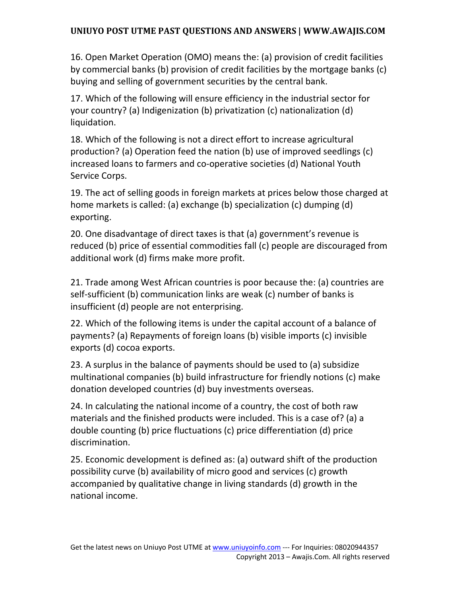16. Open Market Operation (OMO) means the: (a) provision of credit facilities by commercial banks (b) provision of credit facilities by the mortgage banks (c) buying and selling of government securities by the central bank.

17. Which of the following will ensure efficiency in the industrial sector for your country? (a) Indigenization (b) privatization (c) nationalization (d) liquidation.

18. Which of the following is not a direct effort to increase agricultural production? (a) Operation feed the nation (b) use of improved seedlings (c) increased loans to farmers and co-operative societies (d) National Youth Service Corps.

19. The act of selling goods in foreign markets at prices below those charged at home markets is called: (a) exchange (b) specialization (c) dumping (d) exporting.

20. One disadvantage of direct taxes is that (a) government's revenue is reduced (b) price of essential commodities fall (c) people are discouraged from additional work (d) firms make more profit.

21. Trade among West African countries is poor because the: (a) countries are self-sufficient (b) communication links are weak (c) number of banks is insufficient (d) people are not enterprising.

22. Which of the following items is under the capital account of a balance of payments? (a) Repayments of foreign loans (b) visible imports (c) invisible exports (d) cocoa exports.

23. A surplus in the balance of payments should be used to (a) subsidize multinational companies (b) build infrastructure for friendly notions (c) make donation developed countries (d) buy investments overseas.

24. In calculating the national income of a country, the cost of both raw materials and the finished products were included. This is a case of? (a) a double counting (b) price fluctuations (c) price differentiation (d) price discrimination.

25. Economic development is defined as: (a) outward shift of the production possibility curve (b) availability of micro good and services (c) growth accompanied by qualitative change in living standards (d) growth in the national income.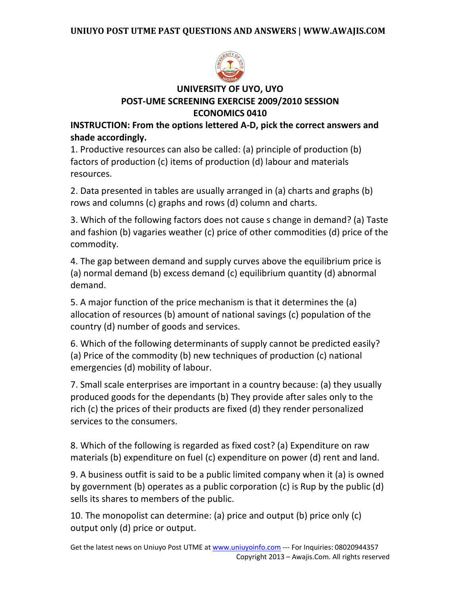

# **UNIVERSITY OF UYO, UYO POST-UME SCREENING EXERCISE 2009/2010 SESSION ECONOMICS 0410**

**INSTRUCTION: From the options lettered A-D, pick the correct answers and shade accordingly.** 

1. Productive resources can also be called: (a) principle of production (b) factors of production (c) items of production (d) labour and materials resources.

2. Data presented in tables are usually arranged in (a) charts and graphs (b) rows and columns (c) graphs and rows (d) column and charts.

3. Which of the following factors does not cause s change in demand? (a) Taste and fashion (b) vagaries weather (c) price of other commodities (d) price of the commodity.

4. The gap between demand and supply curves above the equilibrium price is (a) normal demand (b) excess demand (c) equilibrium quantity (d) abnormal demand.

5. A major function of the price mechanism is that it determines the (a) allocation of resources (b) amount of national savings (c) population of the country (d) number of goods and services.

6. Which of the following determinants of supply cannot be predicted easily? (a) Price of the commodity (b) new techniques of production (c) national emergencies (d) mobility of labour.

7. Small scale enterprises are important in a country because: (a) they usually produced goods for the dependants (b) They provide after sales only to the rich (c) the prices of their products are fixed (d) they render personalized services to the consumers.

8. Which of the following is regarded as fixed cost? (a) Expenditure on raw materials (b) expenditure on fuel (c) expenditure on power (d) rent and land.

9. A business outfit is said to be a public limited company when it (a) is owned by government (b) operates as a public corporation (c) is Rup by the public (d) sells its shares to members of the public.

10. The monopolist can determine: (a) price and output (b) price only (c) output only (d) price or output.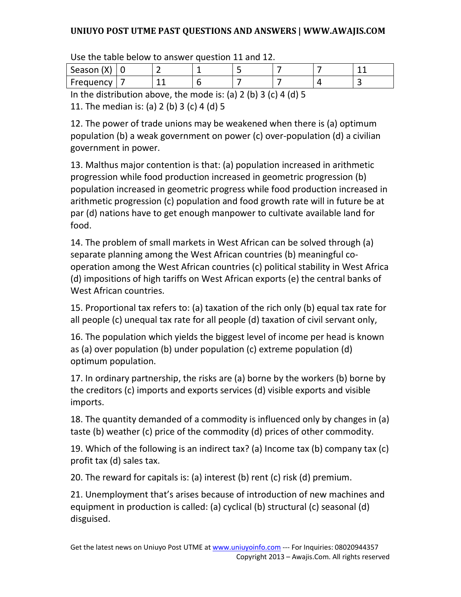| Season (X)                         |  |  |  |  |  |  |  |  |
|------------------------------------|--|--|--|--|--|--|--|--|
| Frequency                          |  |  |  |  |  |  |  |  |
| $1 - 1 - 11 - 11 - 11 - 111 - 111$ |  |  |  |  |  |  |  |  |

Use the table below to answer question 11 and 12.

In the distribution above, the mode is: (a) 2 (b) 3 (c) 4 (d) 5

11. The median is: (a) 2 (b) 3 (c) 4 (d) 5

12. The power of trade unions may be weakened when there is (a) optimum population (b) a weak government on power (c) over-population (d) a civilian government in power.

13. Malthus major contention is that: (a) population increased in arithmetic progression while food production increased in geometric progression (b) population increased in geometric progress while food production increased in arithmetic progression (c) population and food growth rate will in future be at par (d) nations have to get enough manpower to cultivate available land for food.

14. The problem of small markets in West African can be solved through (a) separate planning among the West African countries (b) meaningful cooperation among the West African countries (c) political stability in West Africa (d) impositions of high tariffs on West African exports (e) the central banks of West African countries.

15. Proportional tax refers to: (a) taxation of the rich only (b) equal tax rate for all people (c) unequal tax rate for all people (d) taxation of civil servant only,

16. The population which yields the biggest level of income per head is known as (a) over population (b) under population (c) extreme population (d) optimum population.

17. In ordinary partnership, the risks are (a) borne by the workers (b) borne by the creditors (c) imports and exports services (d) visible exports and visible imports.

18. The quantity demanded of a commodity is influenced only by changes in (a) taste (b) weather (c) price of the commodity (d) prices of other commodity.

19. Which of the following is an indirect tax? (a) Income tax (b) company tax (c) profit tax (d) sales tax.

20. The reward for capitals is: (a) interest (b) rent (c) risk (d) premium.

21. Unemployment that's arises because of introduction of new machines and equipment in production is called: (a) cyclical (b) structural (c) seasonal (d) disguised.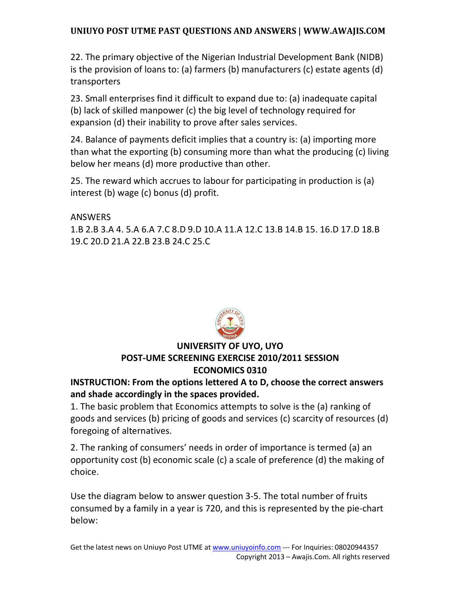22. The primary objective of the Nigerian Industrial Development Bank (NIDB) is the provision of loans to: (a) farmers (b) manufacturers (c) estate agents (d) transporters

23. Small enterprises find it difficult to expand due to: (a) inadequate capital (b) lack of skilled manpower (c) the big level of technology required for expansion (d) their inability to prove after sales services.

24. Balance of payments deficit implies that a country is: (a) importing more than what the exporting (b) consuming more than what the producing (c) living below her means (d) more productive than other.

25. The reward which accrues to labour for participating in production is (a) interest (b) wage (c) bonus (d) profit.

ANSWERS

1.B 2.B 3.A 4. 5.A 6.A 7.C 8.D 9.D 10.A 11.A 12.C 13.B 14.B 15. 16.D 17.D 18.B 19.C 20.D 21.A 22.B 23.B 24.C 25.C



# **UNIVERSITY OF UYO, UYO POST-UME SCREENING EXERCISE 2010/2011 SESSION ECONOMICS 0310**

### **INSTRUCTION: From the options lettered A to D, choose the correct answers and shade accordingly in the spaces provided.**

1. The basic problem that Economics attempts to solve is the (a) ranking of goods and services (b) pricing of goods and services (c) scarcity of resources (d) foregoing of alternatives.

2. The ranking of consumers' needs in order of importance is termed (a) an opportunity cost (b) economic scale (c) a scale of preference (d) the making of choice.

Use the diagram below to answer question 3-5. The total number of fruits consumed by a family in a year is 720, and this is represented by the pie-chart below: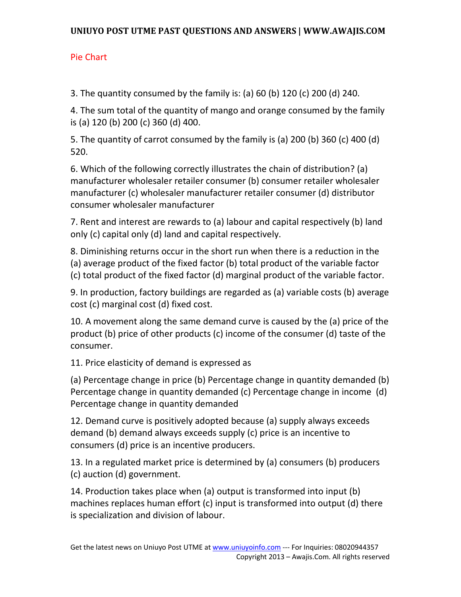# Pie Chart

3. The quantity consumed by the family is: (a) 60 (b) 120 (c) 200 (d) 240.

4. The sum total of the quantity of mango and orange consumed by the family is (a) 120 (b) 200 (c) 360 (d) 400.

5. The quantity of carrot consumed by the family is (a) 200 (b) 360 (c) 400 (d) 520.

6. Which of the following correctly illustrates the chain of distribution? (a) manufacturer wholesaler retailer consumer (b) consumer retailer wholesaler manufacturer (c) wholesaler manufacturer retailer consumer (d) distributor consumer wholesaler manufacturer

7. Rent and interest are rewards to (a) labour and capital respectively (b) land only (c) capital only (d) land and capital respectively.

8. Diminishing returns occur in the short run when there is a reduction in the (a) average product of the fixed factor (b) total product of the variable factor (c) total product of the fixed factor (d) marginal product of the variable factor.

9. In production, factory buildings are regarded as (a) variable costs (b) average cost (c) marginal cost (d) fixed cost.

10. A movement along the same demand curve is caused by the (a) price of the product (b) price of other products (c) income of the consumer (d) taste of the consumer.

11. Price elasticity of demand is expressed as

(a) Percentage change in price (b) Percentage change in quantity demanded (b) Percentage change in quantity demanded (c) Percentage change in income (d) Percentage change in quantity demanded

12. Demand curve is positively adopted because (a) supply always exceeds demand (b) demand always exceeds supply (c) price is an incentive to consumers (d) price is an incentive producers.

13. In a regulated market price is determined by (a) consumers (b) producers (c) auction (d) government.

14. Production takes place when (a) output is transformed into input (b) machines replaces human effort (c) input is transformed into output (d) there is specialization and division of labour.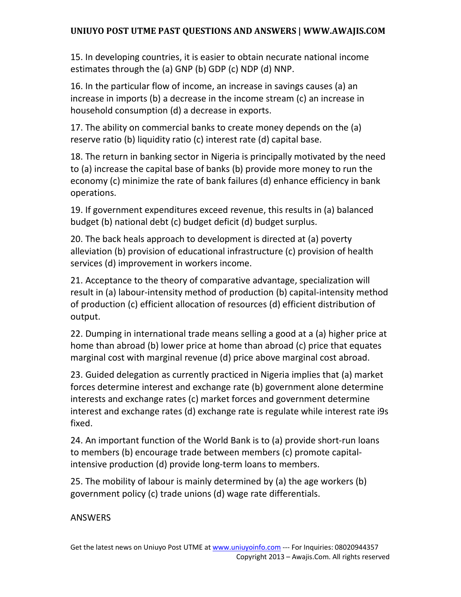15. In developing countries, it is easier to obtain necurate national income estimates through the (a) GNP (b) GDP (c) NDP (d) NNP.

16. In the particular flow of income, an increase in savings causes (a) an increase in imports (b) a decrease in the income stream (c) an increase in household consumption (d) a decrease in exports.

17. The ability on commercial banks to create money depends on the (a) reserve ratio (b) liquidity ratio (c) interest rate (d) capital base.

18. The return in banking sector in Nigeria is principally motivated by the need to (a) increase the capital base of banks (b) provide more money to run the economy (c) minimize the rate of bank failures (d) enhance efficiency in bank operations.

19. If government expenditures exceed revenue, this results in (a) balanced budget (b) national debt (c) budget deficit (d) budget surplus.

20. The back heals approach to development is directed at (a) poverty alleviation (b) provision of educational infrastructure (c) provision of health services (d) improvement in workers income.

21. Acceptance to the theory of comparative advantage, specialization will result in (a) labour-intensity method of production (b) capital-intensity method of production (c) efficient allocation of resources (d) efficient distribution of output.

22. Dumping in international trade means selling a good at a (a) higher price at home than abroad (b) lower price at home than abroad (c) price that equates marginal cost with marginal revenue (d) price above marginal cost abroad.

23. Guided delegation as currently practiced in Nigeria implies that (a) market forces determine interest and exchange rate (b) government alone determine interests and exchange rates (c) market forces and government determine interest and exchange rates (d) exchange rate is regulate while interest rate i9s fixed.

24. An important function of the World Bank is to (a) provide short-run loans to members (b) encourage trade between members (c) promote capitalintensive production (d) provide long-term loans to members.

25. The mobility of labour is mainly determined by (a) the age workers (b) government policy (c) trade unions (d) wage rate differentials.

ANSWERS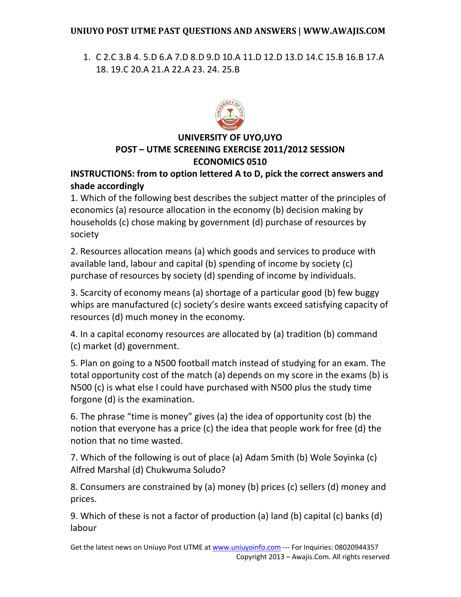1. C 2.C 3.B 4. 5.D 6.A 7.D 8.D 9.D 10.A 11.D 12.D 13.D 14.C 15.B 16.B 17.A 18. 19.C 20.A 21.A 22.A 23. 24. 25.B



# **UNIVERSITY OF UYO,UYO POST – UTME SCREENING EXERCISE 2011/2012 SESSION ECONOMICS 0510**

# **INSTRUCTIONS: from to option lettered A to D, pick the correct answers and shade accordingly**

1. Which of the following best describes the subject matter of the principles of economics (a) resource allocation in the economy (b) decision making by households (c) chose making by government (d) purchase of resources by society

2. Resources allocation means (a) which goods and services to produce with available land, labour and capital (b) spending of income by society (c) purchase of resources by society (d) spending of income by individuals.

3. Scarcity of economy means (a) shortage of a particular good (b) few buggy whips are manufactured (c) society's desire wants exceed satisfying capacity of resources (d) much money in the economy.

4. In a capital economy resources are allocated by (a) tradition (b) command (c) market (d) government.

5. Plan on going to a N500 football match instead of studying for an exam. The total opportunity cost of the match (a) depends on my score in the exams (b) is N500 (c) is what else I could have purchased with N500 plus the study time forgone (d) is the examination.

6. The phrase "time is money" gives (a) the idea of opportunity cost (b) the notion that everyone has a price (c) the idea that people work for free (d) the notion that no time wasted.

7. Which of the following is out of place (a) Adam Smith (b) Wole Soyinka (c) Alfred Marshal (d) Chukwuma Soludo?

8. Consumers are constrained by (a) money (b) prices (c) sellers (d) money and prices.

9. Which of these is not a factor of production (a) land (b) capital (c) banks (d) labour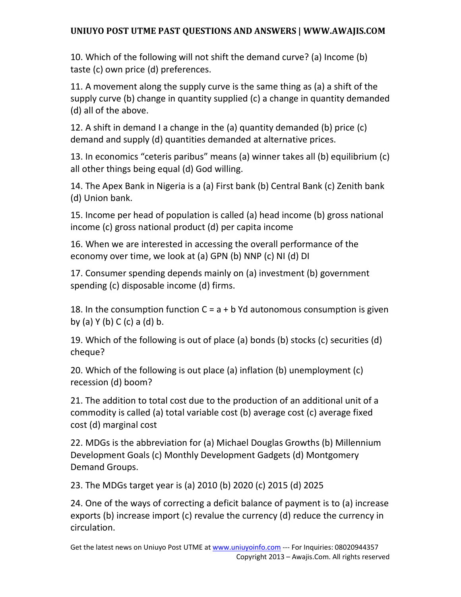10. Which of the following will not shift the demand curve? (a) Income (b) taste (c) own price (d) preferences.

11. A movement along the supply curve is the same thing as (a) a shift of the supply curve (b) change in quantity supplied (c) a change in quantity demanded (d) all of the above.

12. A shift in demand I a change in the (a) quantity demanded (b) price (c) demand and supply (d) quantities demanded at alternative prices.

13. In economics "ceteris paribus" means (a) winner takes all (b) equilibrium (c) all other things being equal (d) God willing.

14. The Apex Bank in Nigeria is a (a) First bank (b) Central Bank (c) Zenith bank (d) Union bank.

15. Income per head of population is called (a) head income (b) gross national income (c) gross national product (d) per capita income

16. When we are interested in accessing the overall performance of the economy over time, we look at (a) GPN (b) NNP (c) NI (d) DI

17. Consumer spending depends mainly on (a) investment (b) government spending (c) disposable income (d) firms.

18. In the consumption function  $C = a + b$  Yd autonomous consumption is given by (a) Y (b) C (c) a (d) b.

19. Which of the following is out of place (a) bonds (b) stocks (c) securities (d) cheque?

20. Which of the following is out place (a) inflation (b) unemployment (c) recession (d) boom?

21. The addition to total cost due to the production of an additional unit of a commodity is called (a) total variable cost (b) average cost (c) average fixed cost (d) marginal cost

22. MDGs is the abbreviation for (a) Michael Douglas Growths (b) Millennium Development Goals (c) Monthly Development Gadgets (d) Montgomery Demand Groups.

23. The MDGs target year is (a) 2010 (b) 2020 (c) 2015 (d) 2025

24. One of the ways of correcting a deficit balance of payment is to (a) increase exports (b) increase import (c) revalue the currency (d) reduce the currency in circulation.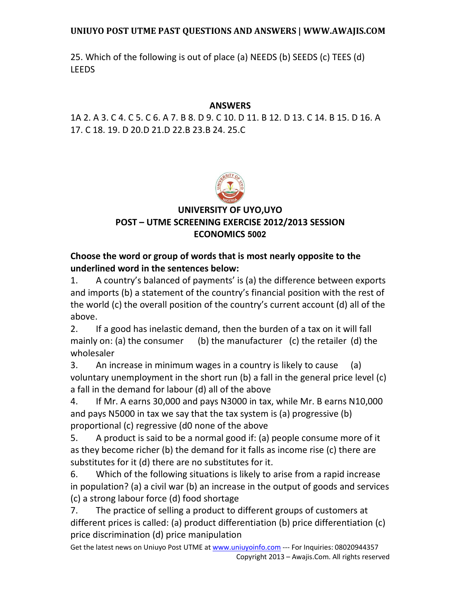25. Which of the following is out of place (a) NEEDS (b) SEEDS (c) TEES (d) LEEDS

### **ANSWERS**

1A 2. A 3. C 4. C 5. C 6. A 7. B 8. D 9. C 10. D 11. B 12. D 13. C 14. B 15. D 16. A 17. C 18. 19. D 20.D 21.D 22.B 23.B 24. 25.C



# **UNIVERSITY OF UYO,UYO POST – UTME SCREENING EXERCISE 2012/2013 SESSION ECONOMICS 5002**

# **Choose the word or group of words that is most nearly opposite to the underlined word in the sentences below:**

1. A country's balanced of payments' is (a) the difference between exports and imports (b) a statement of the country's financial position with the rest of the world (c) the overall position of the country's current account (d) all of the above.

2. If a good has inelastic demand, then the burden of a tax on it will fall mainly on: (a) the consumer (b) the manufacturer (c) the retailer (d) the wholesaler

3. An increase in minimum wages in a country is likely to cause (a) voluntary unemployment in the short run (b) a fall in the general price level (c) a fall in the demand for labour (d) all of the above

4. If Mr. A earns 30,000 and pays N3000 in tax, while Mr. B earns N10,000 and pays N5000 in tax we say that the tax system is (a) progressive (b) proportional (c) regressive (d0 none of the above

5. A product is said to be a normal good if: (a) people consume more of it as they become richer (b) the demand for it falls as income rise (c) there are substitutes for it (d) there are no substitutes for it.

6. Which of the following situations is likely to arise from a rapid increase in population? (a) a civil war (b) an increase in the output of goods and services (c) a strong labour force (d) food shortage

7. The practice of selling a product to different groups of customers at different prices is called: (a) product differentiation (b) price differentiation (c) price discrimination (d) price manipulation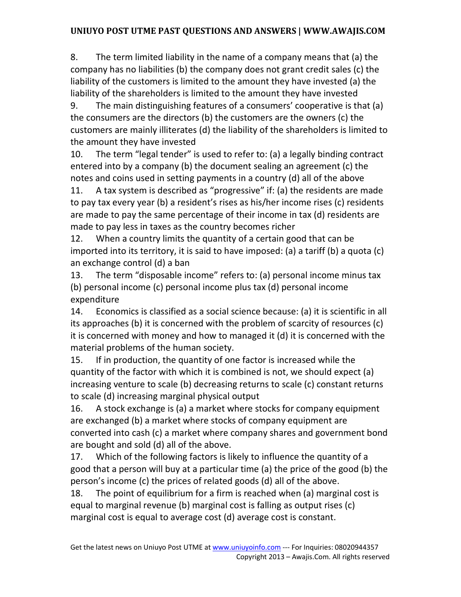8. The term limited liability in the name of a company means that (a) the company has no liabilities (b) the company does not grant credit sales (c) the liability of the customers is limited to the amount they have invested (a) the liability of the shareholders is limited to the amount they have invested

9. The main distinguishing features of a consumers' cooperative is that (a) the consumers are the directors (b) the customers are the owners (c) the customers are mainly illiterates (d) the liability of the shareholders is limited to the amount they have invested

10. The term "legal tender" is used to refer to: (a) a legally binding contract entered into by a company (b) the document sealing an agreement (c) the notes and coins used in setting payments in a country (d) all of the above

11. A tax system is described as "progressive" if: (a) the residents are made to pay tax every year (b) a resident's rises as his/her income rises (c) residents are made to pay the same percentage of their income in tax (d) residents are made to pay less in taxes as the country becomes richer

12. When a country limits the quantity of a certain good that can be imported into its territory, it is said to have imposed: (a) a tariff (b) a quota (c) an exchange control (d) a ban

13. The term "disposable income" refers to: (a) personal income minus tax (b) personal income (c) personal income plus tax (d) personal income expenditure

14. Economics is classified as a social science because: (a) it is scientific in all its approaches (b) it is concerned with the problem of scarcity of resources (c) it is concerned with money and how to managed it (d) it is concerned with the material problems of the human society.

15. If in production, the quantity of one factor is increased while the quantity of the factor with which it is combined is not, we should expect (a) increasing venture to scale (b) decreasing returns to scale (c) constant returns to scale (d) increasing marginal physical output

16. A stock exchange is (a) a market where stocks for company equipment are exchanged (b) a market where stocks of company equipment are converted into cash (c) a market where company shares and government bond are bought and sold (d) all of the above.

17. Which of the following factors is likely to influence the quantity of a good that a person will buy at a particular time (a) the price of the good (b) the person's income (c) the prices of related goods (d) all of the above.

18. The point of equilibrium for a firm is reached when (a) marginal cost is equal to marginal revenue (b) marginal cost is falling as output rises (c) marginal cost is equal to average cost (d) average cost is constant.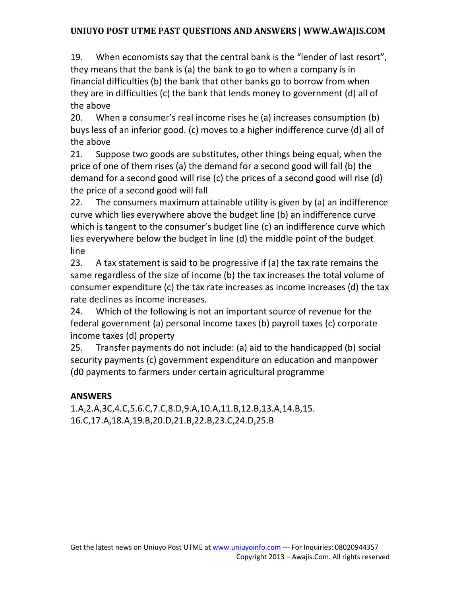19. When economists say that the central bank is the "lender of last resort", they means that the bank is (a) the bank to go to when a company is in financial difficulties (b) the bank that other banks go to borrow from when they are in difficulties (c) the bank that lends money to government (d) all of the above

20. When a consumer's real income rises he (a) increases consumption (b) buys less of an inferior good. (c) moves to a higher indifference curve (d) all of the above

21. Suppose two goods are substitutes, other things being equal, when the price of one of them rises (a) the demand for a second good will fall (b) the demand for a second good will rise (c) the prices of a second good will rise (d) the price of a second good will fall

22. The consumers maximum attainable utility is given by (a) an indifference curve which lies everywhere above the budget line (b) an indifference curve which is tangent to the consumer's budget line (c) an indifference curve which lies everywhere below the budget in line (d) the middle point of the budget line

23. A tax statement is said to be progressive if (a) the tax rate remains the same regardless of the size of income (b) the tax increases the total volume of consumer expenditure (c) the tax rate increases as income increases (d) the tax rate declines as income increases.

24. Which of the following is not an important source of revenue for the federal government (a) personal income taxes (b) payroll taxes (c) corporate income taxes (d) property

25. Transfer payments do not include: (a) aid to the handicapped (b) social security payments (c) government expenditure on education and manpower (d0 payments to farmers under certain agricultural programme

## **ANSWERS**

1.A,2.A,3C,4.C,5.6.C,7.C,8.D,9.A,10.A,11.B,12.B,13.A,14.B,15. 16.C,17.A,18.A,19.B,20.D,21.B,22.B,23.C,24.D,25.B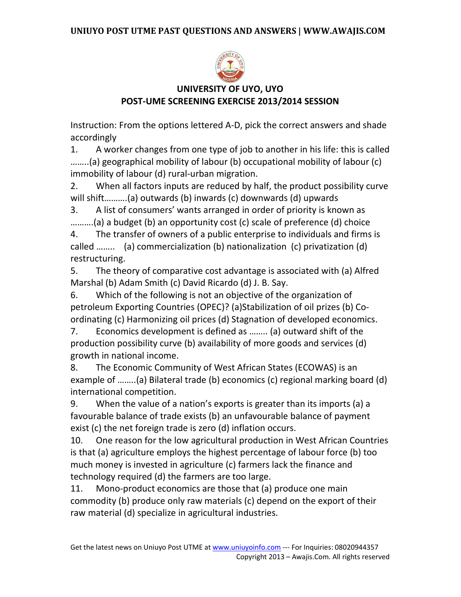

# **UNIVERSITY OF UYO, UYO POST-UME SCREENING EXERCISE 2013/2014 SESSION**

Instruction: From the options lettered A-D, pick the correct answers and shade accordingly

1. A worker changes from one type of job to another in his life: this is called ……..(a) geographical mobility of labour (b) occupational mobility of labour (c) immobility of labour (d) rural-urban migration.

2. When all factors inputs are reduced by half, the product possibility curve will shift……….(a) outwards (b) inwards (c) downwards (d) upwards

3. A list of consumers' wants arranged in order of priority is known as ……….(a) a budget (b) an opportunity cost (c) scale of preference (d) choice

4. The transfer of owners of a public enterprise to individuals and firms is called …….. (a) commercialization (b) nationalization (c) privatization (d) restructuring.

5. The theory of comparative cost advantage is associated with (a) Alfred Marshal (b) Adam Smith (c) David Ricardo (d) J. B. Say.

6. Which of the following is not an objective of the organization of petroleum Exporting Countries (OPEC)? (a)Stabilization of oil prizes (b) Coordinating (c) Harmonizing oil prices (d) Stagnation of developed economics.

7. Economics development is defined as …….. (a) outward shift of the production possibility curve (b) availability of more goods and services (d) growth in national income.

8. The Economic Community of West African States (ECOWAS) is an example of ……..(a) Bilateral trade (b) economics (c) regional marking board (d) international competition.

9. When the value of a nation's exports is greater than its imports (a) a favourable balance of trade exists (b) an unfavourable balance of payment exist (c) the net foreign trade is zero (d) inflation occurs.

10. One reason for the low agricultural production in West African Countries is that (a) agriculture employs the highest percentage of labour force (b) too much money is invested in agriculture (c) farmers lack the finance and technology required (d) the farmers are too large.

11. Mono-product economics are those that (a) produce one main commodity (b) produce only raw materials (c) depend on the export of their raw material (d) specialize in agricultural industries.